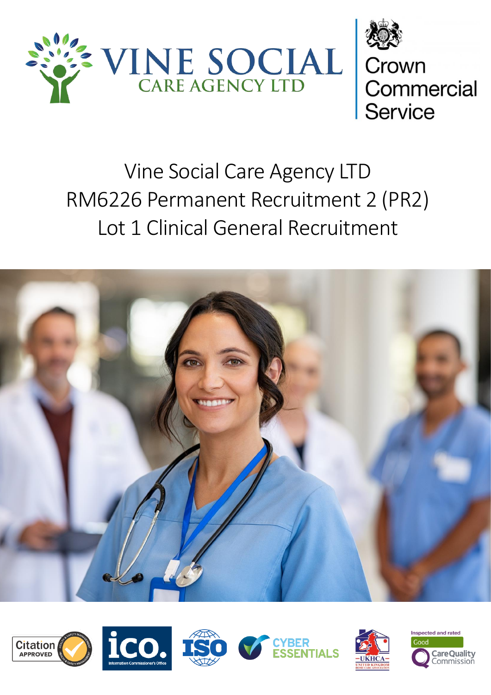



# Vine Social Care Agency LTD RM6226 Permanent Recruitment 2 (PR2) Lot 1 Clinical General Recruitment













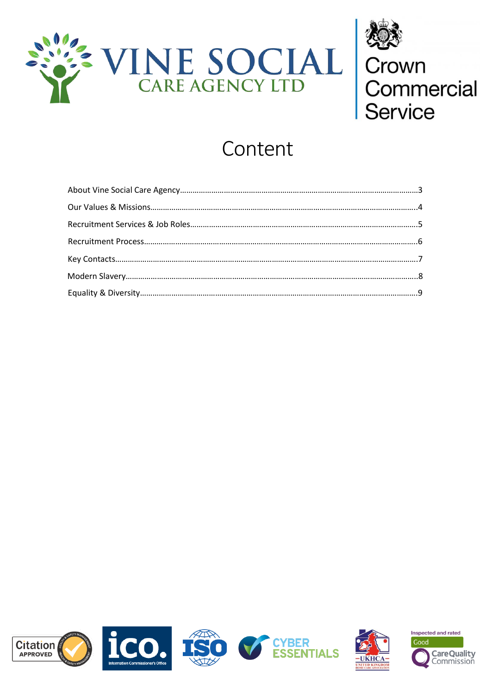



# Content





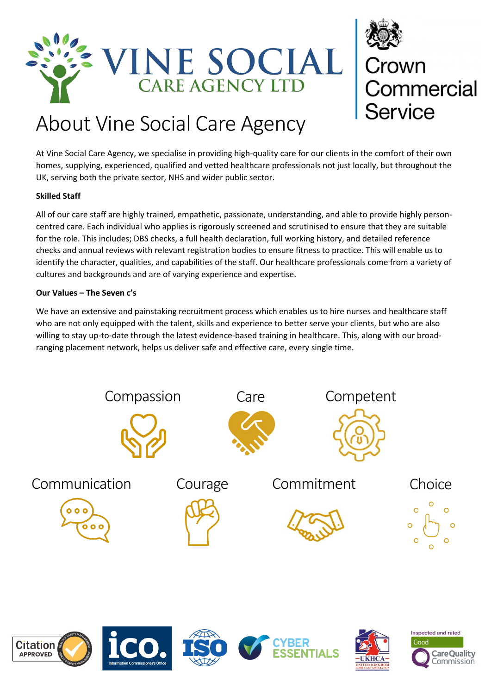



# About Vine Social Care Agency

At Vine Social Care Agency, we specialise in providing high-quality care for our clients in the comfort of their own homes, supplying, experienced, qualified and vetted healthcare professionals not just locally, but throughout the UK, serving both the private sector, NHS and wider public sector.

### **Skilled Staff**

All of our care staff are highly trained, empathetic, passionate, understanding, and able to provide highly personcentred care. Each individual who applies is rigorously screened and scrutinised to ensure that they are suitable for the role. This includes; DBS checks, a full health declaration, full working history, and detailed reference checks and annual reviews with relevant registration bodies to ensure fitness to practice. This will enable us to identify the character, qualities, and capabilities of the staff. Our healthcare professionals come from a variety of cultures and backgrounds and are of varying experience and expertise.

### **Our Values – The Seven c's**

We have an extensive and painstaking recruitment process which enables us to hire nurses and healthcare staff who are not only equipped with the talent, skills and experience to better serve your clients, but who are also willing to stay up-to-date through the latest evidence-based training in healthcare. This, along with our broadranging placement network, helps us deliver safe and effective care, every single time.







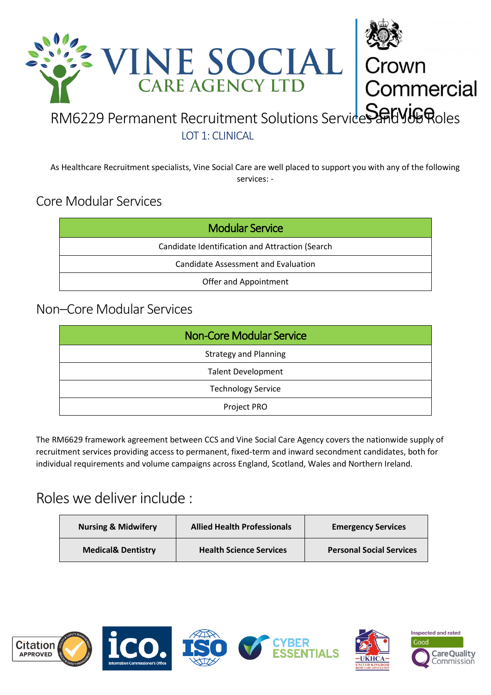

LOT 1: CLINICAL

As Healthcare Recruitment specialists, Vine Social Care are well placed to support you with any of the following services: -

# Core Modular Services

| <b>Modular Service</b>                          |  |  |  |
|-------------------------------------------------|--|--|--|
| Candidate Identification and Attraction (Search |  |  |  |
| Candidate Assessment and Evaluation             |  |  |  |
| Offer and Appointment                           |  |  |  |

# Non–Core Modular Services

| <b>Non-Core Modular Service</b> |
|---------------------------------|
| <b>Strategy and Planning</b>    |
| <b>Talent Development</b>       |
| <b>Technology Service</b>       |
| Project PRO                     |

The RM6629 framework agreement between CCS and Vine Social Care Agency covers the nationwide supply of recruitment services providing access to permanent, fixed-term and inward secondment candidates, both for individual requirements and volume campaigns across England, Scotland, Wales and Northern Ireland.

# Roles we deliver include :

| <b>Nursing &amp; Midwifery</b> | <b>Allied Health Professionals</b> | <b>Emergency Services</b>       |
|--------------------------------|------------------------------------|---------------------------------|
| <b>Medical&amp; Dentistry</b>  | <b>Health Science Services</b>     | <b>Personal Social Services</b> |











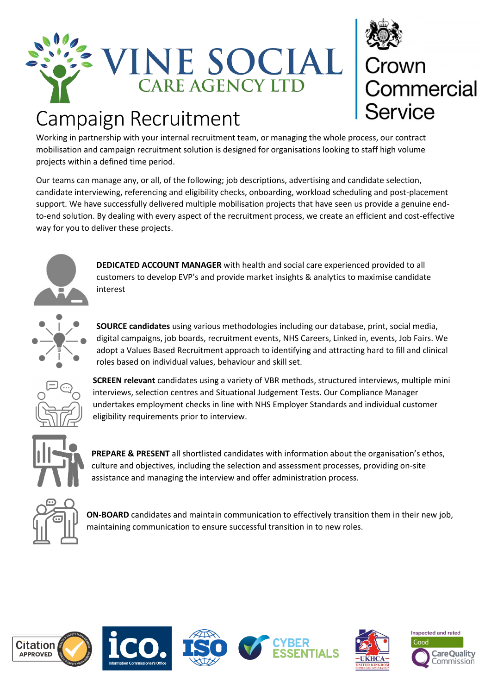

# Crown<br>Commercial<br>Service

# Campaign Recruitment

Working in partnership with your internal recruitment team, or managing the whole process, our contract mobilisation and campaign recruitment solution is designed for organisations looking to staff high volume projects within a defined time period.

Our teams can manage any, or all, of the following; job descriptions, advertising and candidate selection, candidate interviewing, referencing and eligibility checks, onboarding, workload scheduling and post-placement support. We have successfully delivered multiple mobilisation projects that have seen us provide a genuine endto-end solution. By dealing with every aspect of the recruitment process, we create an efficient and cost-effective way for you to deliver these projects.



**DEDICATED ACCOUNT MANAGER** with health and social care experienced provided to all customers to develop EVP's and provide market insights & analytics to maximise candidate interest



**SOURCE candidates** using various methodologies including our database, print, social media, digital campaigns, job boards, recruitment events, NHS Careers, Linked in, events, Job Fairs. We adopt a Values Based Recruitment approach to identifying and attracting hard to fill and clinical roles based on individual values, behaviour and skill set.



**SCREEN relevant** candidates using a variety of VBR methods, structured interviews, multiple mini interviews, selection centres and Situational Judgement Tests. Our Compliance Manager undertakes employment checks in line with NHS Employer Standards and individual customer eligibility requirements prior to interview.



**PREPARE & PRESENT** all shortlisted candidates with information about the organisation's ethos, culture and objectives, including the selection and assessment processes, providing on-site assistance and managing the interview and offer administration process.



**ON-BOARD** candidates and maintain communication to effectively transition them in their new job, maintaining communication to ensure successful transition in to new roles.











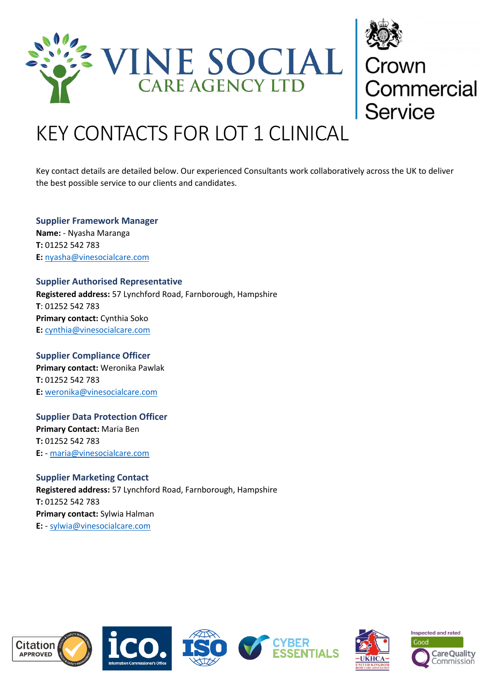



# KEY CONTACTS FOR LOT 1 CLINICAL

Key contact details are detailed below. Our experienced Consultants work collaboratively across the UK to deliver the best possible service to our clients and candidates.

**Supplier Framework Manager Name:** - Nyasha Maranga **T:** 01252 542 783 **E:** [nyasha@vinesocialcare.com](mailto:nyasha@vinesocialcare.com)

**Supplier Authorised Representative Registered address:** 57 Lynchford Road, Farnborough, Hampshire **T**: 01252 542 783 **Primary contact:** Cynthia Soko **E:** [cynthia@vinesocialcare.com](mailto:cynthia@vinesocialcare.com)

**Supplier Compliance Officer Primary contact:** Weronika Pawlak **T:** 01252 542 783 **E:** [weronika@vinesocialcare.com](mailto:weronika@vinesocialcare.com)

**Supplier Data Protection Officer Primary Contact:** Maria Ben **T:** 01252 542 783 **E:** - [maria@vinesocialcare.com](mailto:maria@vinesocialcare.com)

**Supplier Marketing Contact Registered address:** 57 Lynchford Road, Farnborough, Hampshire **T:** 01252 542 783 **Primary contact:** Sylwia Halman **E:** - [sylwia@vinesocialcare.com](mailto:sylwia@vinesocialcare.com)











**Inspected and rated** Good **Care Quality** Commission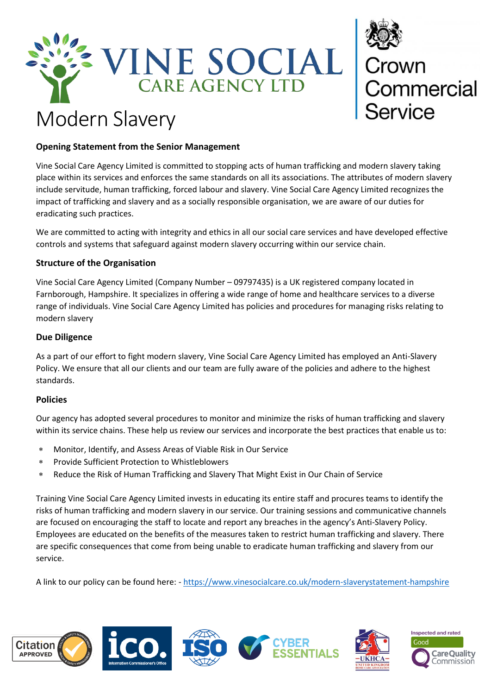



# Modern Slavery

## **Opening Statement from the Senior Management**

Vine Social Care Agency Limited is committed to stopping acts of human trafficking and modern slavery taking place within its services and enforces the same standards on all its associations. The attributes of modern slavery include servitude, human trafficking, forced labour and slavery. Vine Social Care Agency Limited recognizes the impact of trafficking and slavery and as a socially responsible organisation, we are aware of our duties for eradicating such practices.

We are committed to acting with integrity and ethics in all our social care services and have developed effective controls and systems that safeguard against modern slavery occurring within our service chain.

### **Structure of the Organisation**

Vine Social Care Agency Limited (Company Number – 09797435) is a UK registered company located in Farnborough, Hampshire. It specializes in offering a wide range of home and healthcare services to a diverse range of individuals. Vine Social Care Agency Limited has policies and procedures for managing risks relating to modern slavery

### **Due Diligence**

As a part of our effort to fight modern slavery, Vine Social Care Agency Limited has employed an Anti-Slavery Policy. We ensure that all our clients and our team are fully aware of the policies and adhere to the highest standards.

### **Policies**

Our agency has adopted several procedures to monitor and minimize the risks of human trafficking and slavery within its service chains. These help us review our services and incorporate the best practices that enable us to:

- Monitor, Identify, and Assess Areas of Viable Risk in Our Service
- Provide Sufficient Protection to Whistleblowers
- Reduce the Risk of Human Trafficking and Slavery That Might Exist in Our Chain of Service

Training Vine Social Care Agency Limited invests in educating its entire staff and procures teams to identify the risks of human trafficking and modern slavery in our service. Our training sessions and communicative channels are focused on encouraging the staff to locate and report any breaches in the agency's Anti-Slavery Policy. Employees are educated on the benefits of the measures taken to restrict human trafficking and slavery. There are specific consequences that come from being unable to eradicate human trafficking and slavery from our service.

A link to our policy can be found here: - <https://www.vinesocialcare.co.uk/modern-slaverystatement-hampshire>